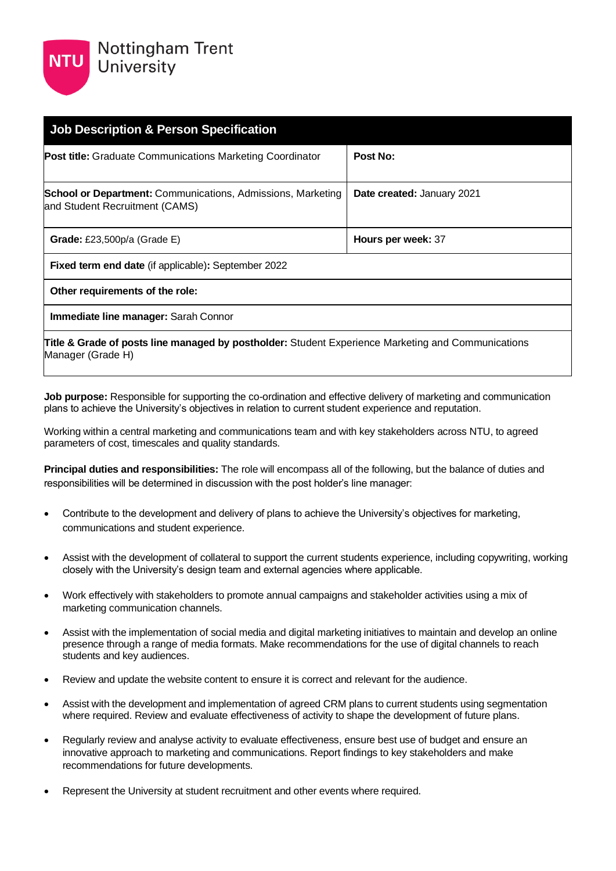| <b>Job Description &amp; Person Specification</b>                                                                                  |                            |
|------------------------------------------------------------------------------------------------------------------------------------|----------------------------|
| <b>Post title:</b> Graduate Communications Marketing Coordinator                                                                   | Post No:                   |
| <b>School or Department:</b> Communications, Admissions, Marketing<br>and Student Recruitment (CAMS)                               | Date created: January 2021 |
| Grade: £23,500 $p/a$ (Grade E)                                                                                                     | Hours per week: 37         |
| <b>Fixed term end date</b> (if applicable): September 2022                                                                         |                            |
| Other requirements of the role:                                                                                                    |                            |
| Immediate line manager: Sarah Connor                                                                                               |                            |
| <b>Title &amp; Grade of posts line managed by postholder:</b> Student Experience Marketing and Communications<br>Manager (Grade H) |                            |

**Job purpose:** Responsible for supporting the co-ordination and effective delivery of marketing and communication plans to achieve the University's objectives in relation to current student experience and reputation.

Working within a central marketing and communications team and with key stakeholders across NTU, to agreed parameters of cost, timescales and quality standards.

**Principal duties and responsibilities:** The role will encompass all of the following, but the balance of duties and responsibilities will be determined in discussion with the post holder's line manager:

- Contribute to the development and delivery of plans to achieve the University's objectives for marketing, communications and student experience.
- Assist with the development of collateral to support the current students experience, including copywriting, working closely with the University's design team and external agencies where applicable.
- Work effectively with stakeholders to promote annual campaigns and stakeholder activities using a mix of marketing communication channels.
- Assist with the implementation of social media and digital marketing initiatives to maintain and develop an online presence through a range of media formats. Make recommendations for the use of digital channels to reach students and key audiences.
- Review and update the website content to ensure it is correct and relevant for the audience.
- Assist with the development and implementation of agreed CRM plans to current students using segmentation where required. Review and evaluate effectiveness of activity to shape the development of future plans.
- Regularly review and analyse activity to evaluate effectiveness, ensure best use of budget and ensure an innovative approach to marketing and communications. Report findings to key stakeholders and make recommendations for future developments.
- Represent the University at student recruitment and other events where required.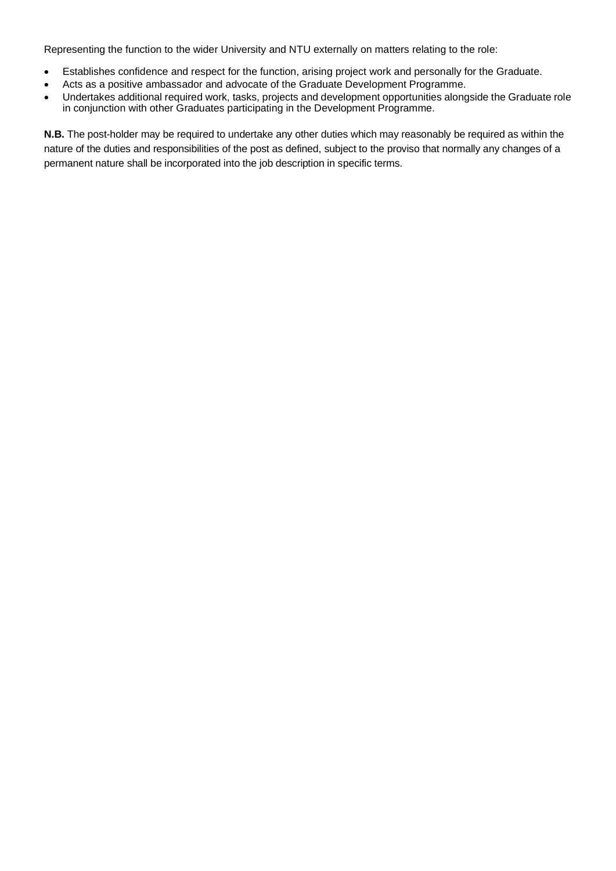Representing the function to the wider University and NTU externally on matters relating to the role:

- Establishes confidence and respect for the function, arising project work and personally for the Graduate.
- Acts as a positive ambassador and advocate of the Graduate Development Programme.
- Undertakes additional required work, tasks, projects and development opportunities alongside the Graduate role in conjunction with other Graduates participating in the Development Programme.

**N.B.** The post-holder may be required to undertake any other duties which may reasonably be required as within the nature of the duties and responsibilities of the post as defined, subject to the proviso that normally any changes of a permanent nature shall be incorporated into the job description in specific terms.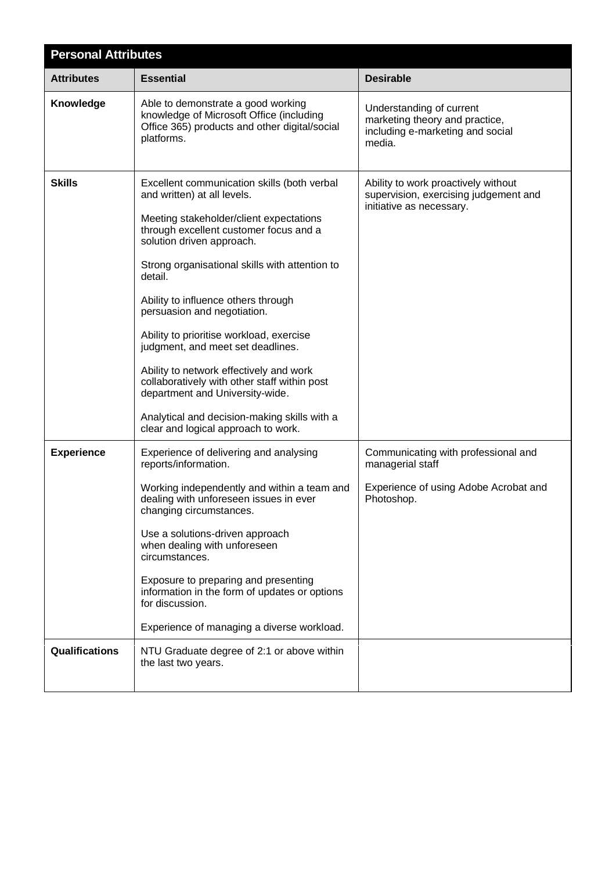| <b>Personal Attributes</b> |                                                                                                                                                                                                                                                                                                                                                                                                                                                                                                                                                                                                                                       |                                                                                                                |  |
|----------------------------|---------------------------------------------------------------------------------------------------------------------------------------------------------------------------------------------------------------------------------------------------------------------------------------------------------------------------------------------------------------------------------------------------------------------------------------------------------------------------------------------------------------------------------------------------------------------------------------------------------------------------------------|----------------------------------------------------------------------------------------------------------------|--|
| <b>Attributes</b>          | <b>Essential</b>                                                                                                                                                                                                                                                                                                                                                                                                                                                                                                                                                                                                                      | <b>Desirable</b>                                                                                               |  |
| Knowledge                  | Able to demonstrate a good working<br>knowledge of Microsoft Office (including<br>Office 365) products and other digital/social<br>platforms.                                                                                                                                                                                                                                                                                                                                                                                                                                                                                         | Understanding of current<br>marketing theory and practice,<br>including e-marketing and social<br>media.       |  |
| <b>Skills</b>              | Excellent communication skills (both verbal<br>and written) at all levels.<br>Meeting stakeholder/client expectations<br>through excellent customer focus and a<br>solution driven approach.<br>Strong organisational skills with attention to<br>detail.<br>Ability to influence others through<br>persuasion and negotiation.<br>Ability to prioritise workload, exercise<br>judgment, and meet set deadlines.<br>Ability to network effectively and work<br>collaboratively with other staff within post<br>department and University-wide.<br>Analytical and decision-making skills with a<br>clear and logical approach to work. | Ability to work proactively without<br>supervision, exercising judgement and<br>initiative as necessary.       |  |
| <b>Experience</b>          | Experience of delivering and analysing<br>reports/information.<br>Working independently and within a team and<br>dealing with unforeseen issues in ever<br>changing circumstances.<br>Use a solutions-driven approach<br>when dealing with unforeseen<br>circumstances.<br>Exposure to preparing and presenting<br>information in the form of updates or options<br>for discussion.<br>Experience of managing a diverse workload.                                                                                                                                                                                                     | Communicating with professional and<br>managerial staff<br>Experience of using Adobe Acrobat and<br>Photoshop. |  |
| Qualifications             | NTU Graduate degree of 2:1 or above within<br>the last two years.                                                                                                                                                                                                                                                                                                                                                                                                                                                                                                                                                                     |                                                                                                                |  |